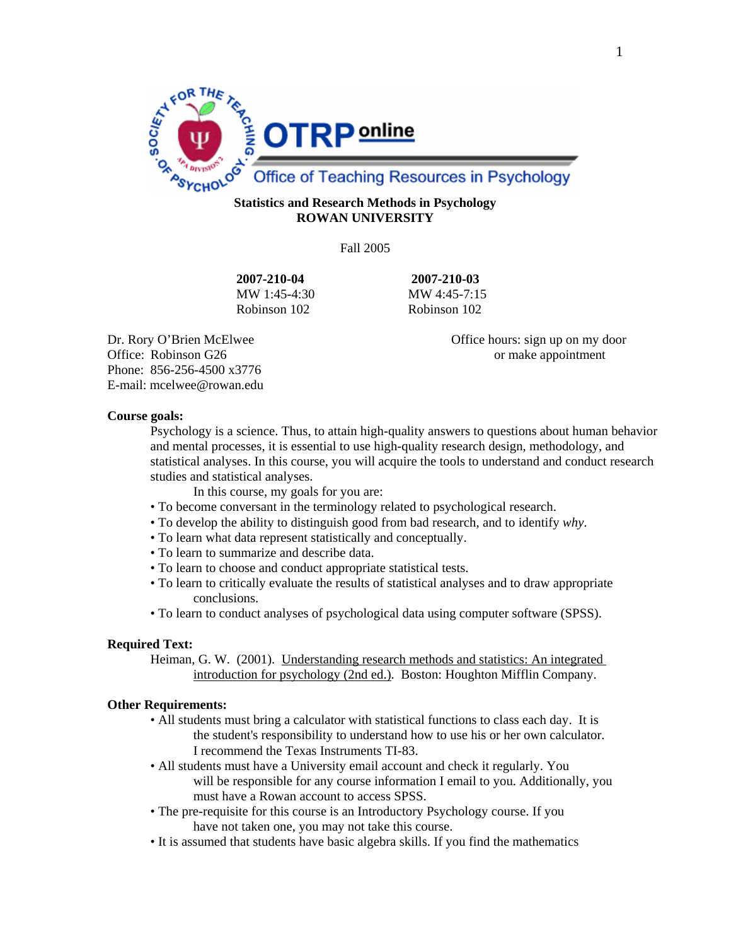

# **ROWAN UNIVERSITY**

Fall 2005

**2007-210-04 2007-210-03** MW 1:45-4:30 MW 4:45-7:15 Robinson 102 Robinson 102

Office: Robinson G26 or make appointment Phone: 856-256-4500 x3776 E-mail: mcelwee@rowan.edu

Dr. Rory O'Brien McElwee Office hours: sign up on my door

### **Course goals:**

Psychology is a science. Thus, to attain high-quality answers to questions about human behavior and mental processes, it is essential to use high-quality research design, methodology, and statistical analyses. In this course, you will acquire the tools to understand and conduct research studies and statistical analyses.

- In this course, my goals for you are:
- To become conversant in the terminology related to psychological research.
- To develop the ability to distinguish good from bad research, and to identify *why*.
- To learn what data represent statistically and conceptually.
- To learn to summarize and describe data.
- To learn to choose and conduct appropriate statistical tests.
- To learn to critically evaluate the results of statistical analyses and to draw appropriate conclusions.
- To learn to conduct analyses of psychological data using computer software (SPSS).

### **Required Text:**

 Heiman, G. W. (2001). Understanding research methods and statistics: An integrated introduction for psychology (2nd ed.). Boston: Houghton Mifflin Company.

### **Other Requirements:**

- All students must bring a calculator with statistical functions to class each day. It is the student's responsibility to understand how to use his or her own calculator. I recommend the Texas Instruments TI-83.
- All students must have a University email account and check it regularly. You will be responsible for any course information I email to you. Additionally, you must have a Rowan account to access SPSS.
- The pre-requisite for this course is an Introductory Psychology course. If you have not taken one, you may not take this course.
- It is assumed that students have basic algebra skills. If you find the mathematics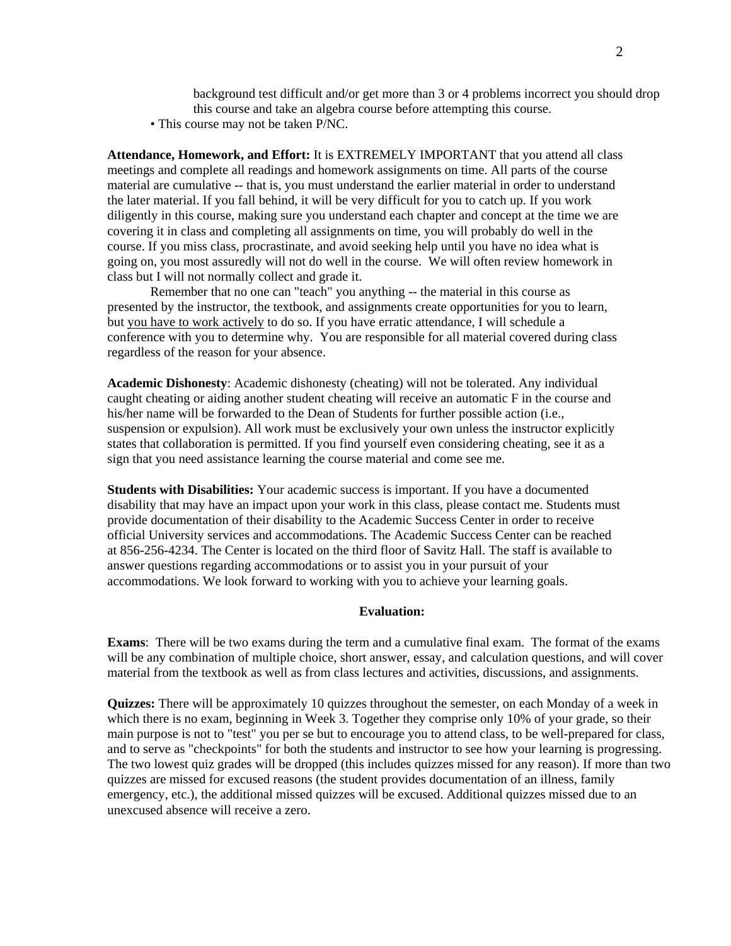background test difficult and/or get more than 3 or 4 problems incorrect you should drop this course and take an algebra course before attempting this course.

• This course may not be taken P/NC.

**Attendance, Homework, and Effort:** It is EXTREMELY IMPORTANT that you attend all class meetings and complete all readings and homework assignments on time. All parts of the course material are cumulative -- that is, you must understand the earlier material in order to understand the later material. If you fall behind, it will be very difficult for you to catch up. If you work diligently in this course, making sure you understand each chapter and concept at the time we are covering it in class and completing all assignments on time, you will probably do well in the course. If you miss class, procrastinate, and avoid seeking help until you have no idea what is going on, you most assuredly will not do well in the course. We will often review homework in class but I will not normally collect and grade it.

Remember that no one can "teach" you anything -- the material in this course as presented by the instructor, the textbook, and assignments create opportunities for you to learn, but you have to work actively to do so. If you have erratic attendance, I will schedule a conference with you to determine why. You are responsible for all material covered during class regardless of the reason for your absence.

**Academic Dishonesty**: Academic dishonesty (cheating) will not be tolerated. Any individual caught cheating or aiding another student cheating will receive an automatic F in the course and his/her name will be forwarded to the Dean of Students for further possible action (i.e., suspension or expulsion). All work must be exclusively your own unless the instructor explicitly states that collaboration is permitted. If you find yourself even considering cheating, see it as a sign that you need assistance learning the course material and come see me.

**Students with Disabilities:** Your academic success is important. If you have a documented disability that may have an impact upon your work in this class, please contact me. Students must provide documentation of their disability to the Academic Success Center in order to receive official University services and accommodations. The Academic Success Center can be reached at 856-256-4234. The Center is located on the third floor of Savitz Hall. The staff is available to answer questions regarding accommodations or to assist you in your pursuit of your accommodations. We look forward to working with you to achieve your learning goals.

#### **Evaluation:**

**Exams**: There will be two exams during the term and a cumulative final exam. The format of the exams will be any combination of multiple choice, short answer, essay, and calculation questions, and will cover material from the textbook as well as from class lectures and activities, discussions, and assignments.

**Quizzes:** There will be approximately 10 quizzes throughout the semester, on each Monday of a week in which there is no exam, beginning in Week 3. Together they comprise only 10% of your grade, so their main purpose is not to "test" you per se but to encourage you to attend class, to be well-prepared for class, and to serve as "checkpoints" for both the students and instructor to see how your learning is progressing. The two lowest quiz grades will be dropped (this includes quizzes missed for any reason). If more than two quizzes are missed for excused reasons (the student provides documentation of an illness, family emergency, etc.), the additional missed quizzes will be excused. Additional quizzes missed due to an unexcused absence will receive a zero.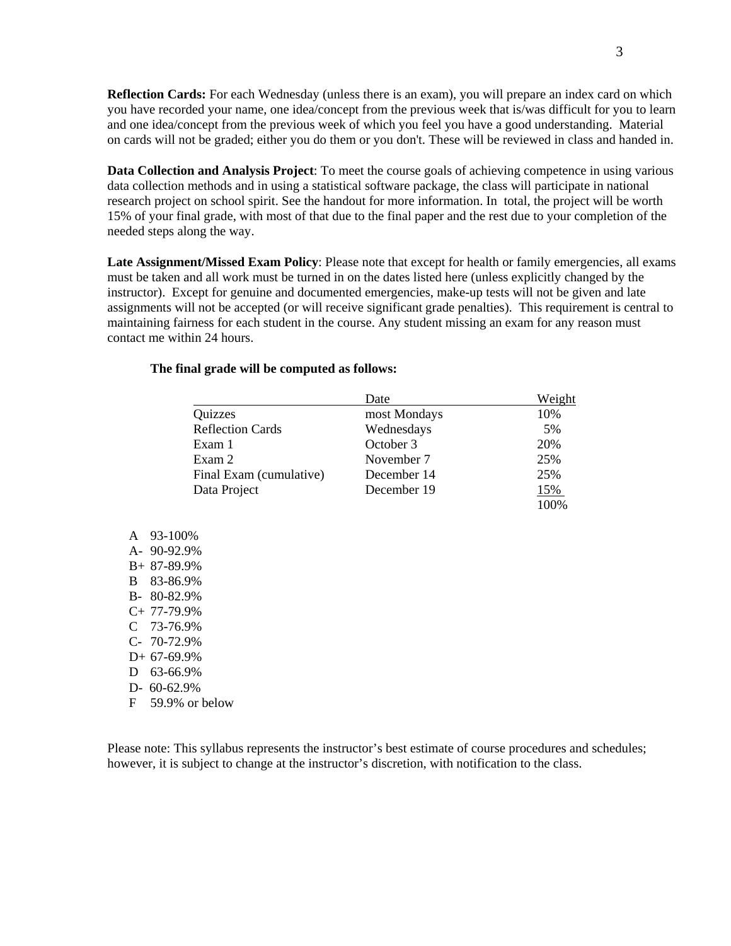**Reflection Cards:** For each Wednesday (unless there is an exam), you will prepare an index card on which you have recorded your name, one idea/concept from the previous week that is/was difficult for you to learn and one idea/concept from the previous week of which you feel you have a good understanding. Material on cards will not be graded; either you do them or you don't. These will be reviewed in class and handed in.

**Data Collection and Analysis Project**: To meet the course goals of achieving competence in using various data collection methods and in using a statistical software package, the class will participate in national research project on school spirit. See the handout for more information. In total, the project will be worth 15% of your final grade, with most of that due to the final paper and the rest due to your completion of the needed steps along the way.

**Late Assignment/Missed Exam Policy**: Please note that except for health or family emergencies, all exams must be taken and all work must be turned in on the dates listed here (unless explicitly changed by the instructor). Except for genuine and documented emergencies, make-up tests will not be given and late assignments will not be accepted (or will receive significant grade penalties). This requirement is central to maintaining fairness for each student in the course. Any student missing an exam for any reason must contact me within 24 hours.

### **The final grade will be computed as follows:**

|                         | Date         | Weight     |
|-------------------------|--------------|------------|
| Quizzes                 | most Mondays | 10%        |
| <b>Reflection Cards</b> | Wednesdays   | 5%         |
| Exam 1                  | October 3    | 20%        |
| Exam 2                  | November 7   | 25%        |
| Final Exam (cumulative) | December 14  | 25%        |
| Data Project            | December 19  | <u>15%</u> |
|                         |              | 100%       |

A 93-100% A- 90-92.9% B+ 87-89.9% B 83-86.9% B- 80-82.9% C+ 77-79.9% C 73-76.9% C- 70-72.9% D+ 67-69.9% D 63-66.9% D- 60-62.9% F 59.9% or below

Please note: This syllabus represents the instructor's best estimate of course procedures and schedules; however, it is subject to change at the instructor's discretion, with notification to the class.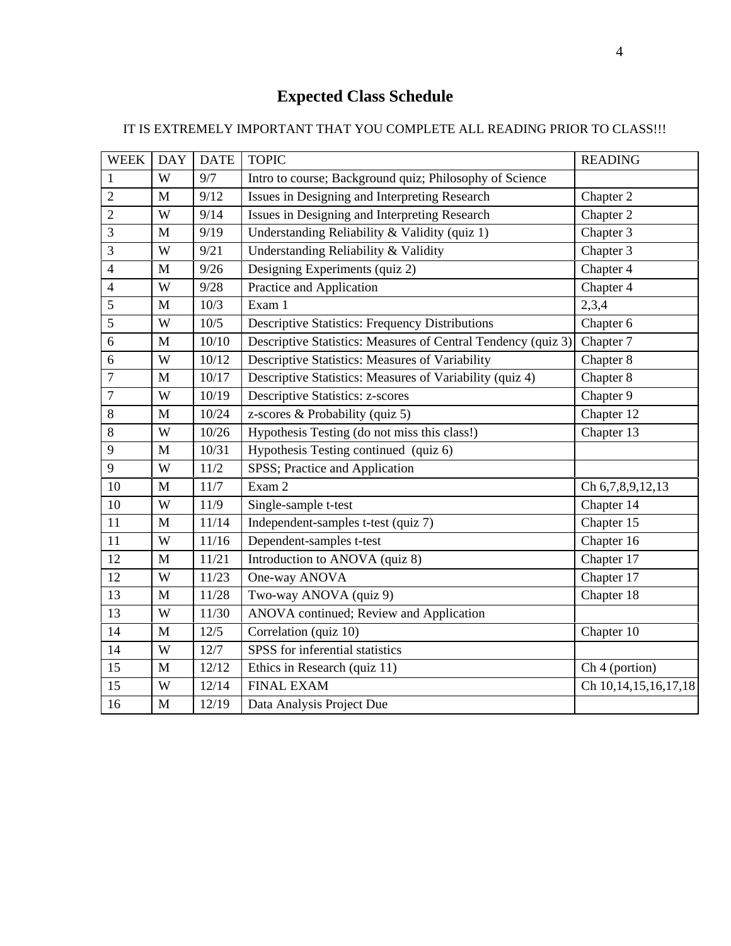## **Expected Class Schedule**

### IT IS EXTREMELY IMPORTANT THAT YOU COMPLETE ALL READING PRIOR TO CLASS!!!

| <b>WEEK</b>      | <b>DAY</b>   | <b>DATE</b> | <b>TOPIC</b>                                                  | <b>READING</b>            |
|------------------|--------------|-------------|---------------------------------------------------------------|---------------------------|
| $\mathbf{1}$     | W            | 9/7         | Intro to course; Background quiz; Philosophy of Science       |                           |
| $\overline{2}$   | $\mathbf{M}$ | 9/12        | Issues in Designing and Interpreting Research                 | Chapter 2                 |
| $\overline{2}$   | W            | 9/14        | Issues in Designing and Interpreting Research                 | Chapter 2                 |
| 3                | $\mathbf{M}$ | 9/19        | Understanding Reliability & Validity (quiz 1)                 | Chapter 3                 |
| 3                | W            | 9/21        | Understanding Reliability & Validity                          | Chapter 3                 |
| $\overline{4}$   | M            | 9/26        | Designing Experiments (quiz 2)                                | Chapter 4                 |
| $\overline{4}$   | W            | 9/28        | Practice and Application                                      | Chapter 4                 |
| 5                | $\mathbf{M}$ | 10/3        | Exam 1                                                        | 2,3,4                     |
| 5                | W            | 10/5        | <b>Descriptive Statistics: Frequency Distributions</b>        | Chapter 6                 |
| 6                | M            | 10/10       | Descriptive Statistics: Measures of Central Tendency (quiz 3) | Chapter 7                 |
| 6                | W            | 10/12       | Descriptive Statistics: Measures of Variability               | Chapter 8                 |
| $\boldsymbol{7}$ | $\mathbf M$  | 10/17       | Descriptive Statistics: Measures of Variability (quiz 4)      | Chapter 8                 |
| $\tau$           | W            | 10/19       | <b>Descriptive Statistics: z-scores</b>                       | Chapter 9                 |
| 8                | $\mathbf M$  | 10/24       | z-scores & Probability (quiz 5)                               | Chapter 12                |
| 8                | W            | 10/26       | Hypothesis Testing (do not miss this class!)                  | Chapter 13                |
| 9                | M            | 10/31       | Hypothesis Testing continued (quiz 6)                         |                           |
| 9                | W            | 11/2        | SPSS; Practice and Application                                |                           |
| 10               | $\mathbf M$  | 11/7        | Exam 2                                                        | Ch 6,7,8,9,12,13          |
| 10               | W            | 11/9        | Single-sample t-test                                          | Chapter 14                |
| 11               | $\mathbf{M}$ | 11/14       | Independent-samples t-test (quiz 7)                           | Chapter 15                |
| 11               | W            | 11/16       | Dependent-samples t-test                                      | Chapter 16                |
| 12               | $\mathbf M$  | 11/21       | Introduction to ANOVA (quiz 8)                                | Chapter 17                |
| 12               | W            | 11/23       | One-way ANOVA                                                 | Chapter 17                |
| 13               | $\mathbf{M}$ | 11/28       | Two-way ANOVA (quiz 9)                                        | Chapter 18                |
| 13               | W            | 11/30       | ANOVA continued; Review and Application                       |                           |
| 14               | $\mathbf{M}$ | 12/5        | Correlation (quiz 10)                                         | Chapter 10                |
| 14               | W            | 12/7        | SPSS for inferential statistics                               |                           |
| 15               | $\mathbf M$  | 12/12       | Ethics in Research (quiz 11)                                  | Ch <sub>4</sub> (portion) |
| 15               | W            | 12/14       | <b>FINAL EXAM</b>                                             | Ch 10, 14, 15, 16, 17, 18 |
| 16               | M            | 12/19       | Data Analysis Project Due                                     |                           |